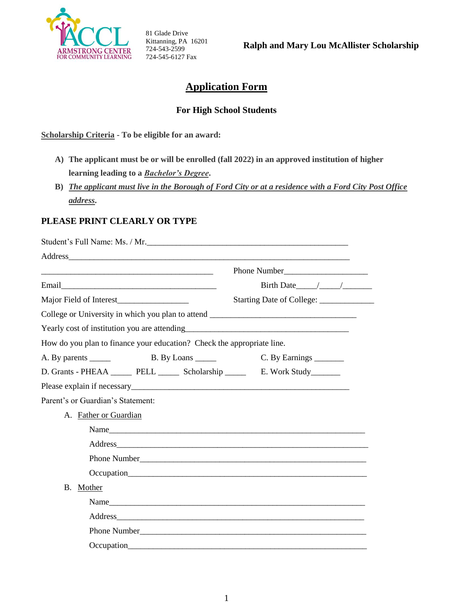

81 Glade Drive Kittanning, PA 16201 724-543-2599 724-545-6127 Fax

**Ralph and Mary Lou McAllister Scholarship** 

# **Application Form**

### **For High School Students**

**Scholarship Criteria - To be eligible for an award:**

- **A) The applicant must be or will be enrolled (fall 2022) in an approved institution of higher learning leading to a** *Bachelor's Degree***.**
- **B)** *The applicant must live in the Borough of Ford City or at a residence with a Ford City Post Office address***.**

### **PLEASE PRINT CLEARLY OR TYPE**

| Student's Full Name: Ms. / Mr.                                                                                        |                  |  |
|-----------------------------------------------------------------------------------------------------------------------|------------------|--|
|                                                                                                                       |                  |  |
| <u> Louis Communication de la communication de la communication de la communication de la communication de la com</u> | Phone Number     |  |
|                                                                                                                       | Birth Date $/$ / |  |
|                                                                                                                       |                  |  |
| College or University in which you plan to attend _______________________________                                     |                  |  |
|                                                                                                                       |                  |  |
| How do you plan to finance your education? Check the appropriate line.                                                |                  |  |
| A. By parents ______<br>B. By Loans                                                                                   | C. By Earnings   |  |
| D. Grants - PHEAA ________ PELL ________ Scholarship __________ E. Work Study________                                 |                  |  |
|                                                                                                                       |                  |  |
| Parent's or Guardian's Statement:                                                                                     |                  |  |
| A. Father or Guardian                                                                                                 |                  |  |
| Name                                                                                                                  |                  |  |
|                                                                                                                       |                  |  |
|                                                                                                                       |                  |  |
|                                                                                                                       |                  |  |
| B. Mother                                                                                                             |                  |  |
|                                                                                                                       | Name             |  |
|                                                                                                                       |                  |  |
|                                                                                                                       |                  |  |
|                                                                                                                       |                  |  |
|                                                                                                                       |                  |  |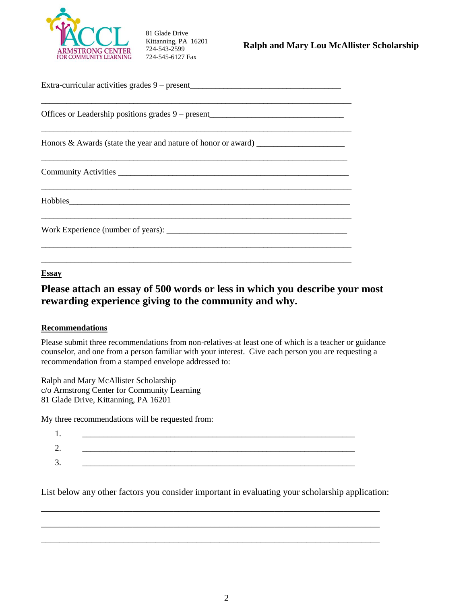

81 Glade Drive Kittanning, PA 16201 724-543-2599 724-545-6127 Fax

| Extra-curricular activities grades 9 – present__________________________________  |  |  |  |  |
|-----------------------------------------------------------------------------------|--|--|--|--|
| Offices or Leadership positions grades 9 – present_______________________________ |  |  |  |  |
| Honors & Awards (state the year and nature of honor or award) ___________________ |  |  |  |  |
|                                                                                   |  |  |  |  |
|                                                                                   |  |  |  |  |
|                                                                                   |  |  |  |  |
|                                                                                   |  |  |  |  |

#### **Essay**

# **Please attach an essay of 500 words or less in which you describe your most rewarding experience giving to the community and why.**

#### **Recommendations**

Please submit three recommendations from non-relatives-at least one of which is a teacher or guidance counselor, and one from a person familiar with your interest. Give each person you are requesting a recommendation from a stamped envelope addressed to:

Ralph and Mary McAllister Scholarship c/o Armstrong Center for Community Learning 81 Glade Drive, Kittanning, PA 16201

My three recommendations will be requested from:

| . .     |  |  |
|---------|--|--|
| -<br>∼. |  |  |
| J.      |  |  |

List below any other factors you consider important in evaluating your scholarship application:

\_\_\_\_\_\_\_\_\_\_\_\_\_\_\_\_\_\_\_\_\_\_\_\_\_\_\_\_\_\_\_\_\_\_\_\_\_\_\_\_\_\_\_\_\_\_\_\_\_\_\_\_\_\_\_\_\_\_\_\_\_\_\_\_\_\_\_\_\_\_\_\_\_\_

\_\_\_\_\_\_\_\_\_\_\_\_\_\_\_\_\_\_\_\_\_\_\_\_\_\_\_\_\_\_\_\_\_\_\_\_\_\_\_\_\_\_\_\_\_\_\_\_\_\_\_\_\_\_\_\_\_\_\_\_\_\_\_\_\_\_\_\_\_\_\_\_\_\_

\_\_\_\_\_\_\_\_\_\_\_\_\_\_\_\_\_\_\_\_\_\_\_\_\_\_\_\_\_\_\_\_\_\_\_\_\_\_\_\_\_\_\_\_\_\_\_\_\_\_\_\_\_\_\_\_\_\_\_\_\_\_\_\_\_\_\_\_\_\_\_\_\_\_